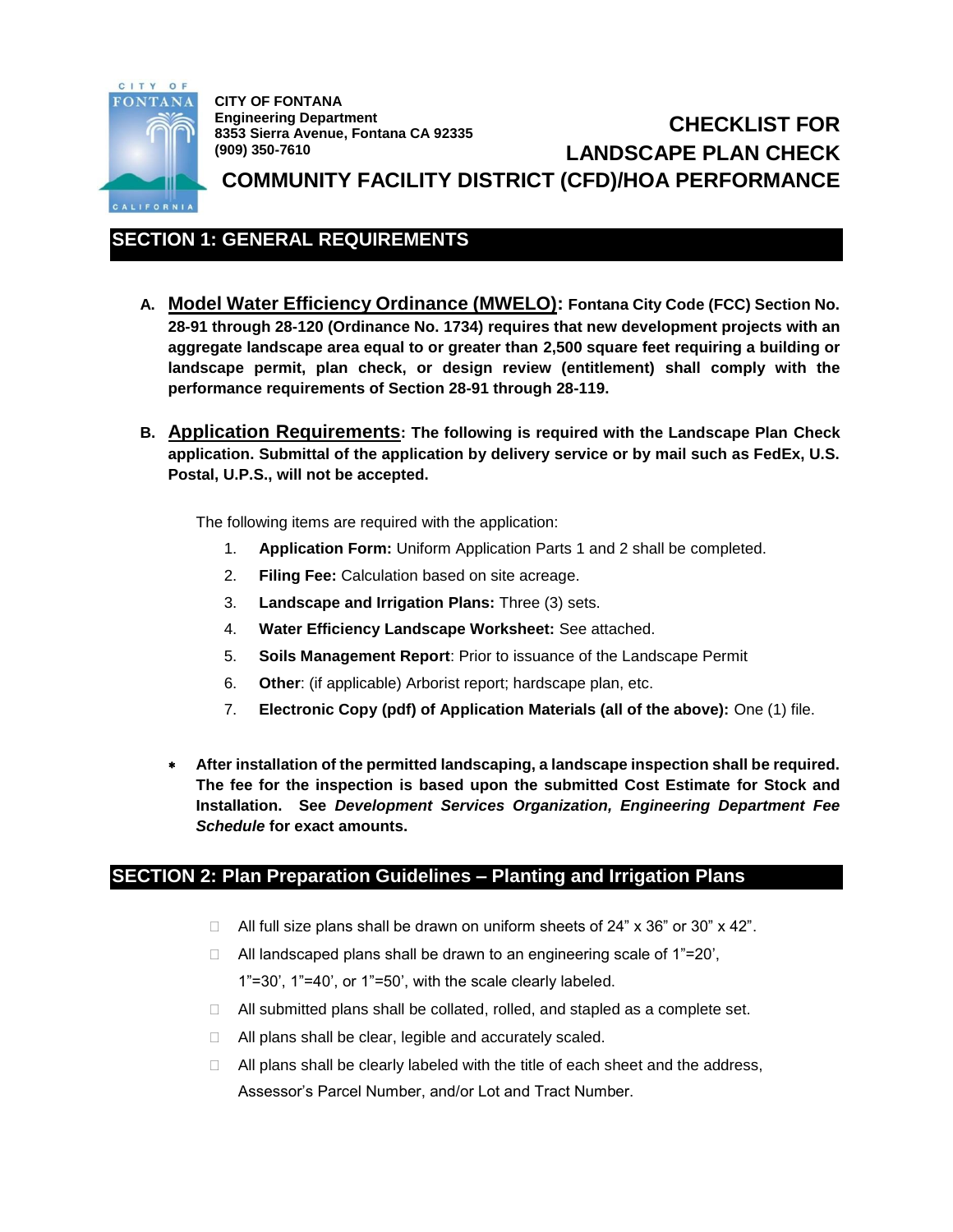

**CITY OF FONTANA Engineering Department 8353 Sierra Avenue, Fontana CA 92335 (909) 350-7610**

**CHECKLIST FOR LANDSCAPE PLAN CHECK COMMUNITY FACILITY DISTRICT (CFD)/HOA PERFORMANCE**

## **SECTION 1: GENERAL REQUIREMENTS**

- **A. Model Water Efficiency Ordinance (MWELO): Fontana City Code (FCC) Section No. 28-91 through 28-120 (Ordinance No. 1734) requires that new development projects with an aggregate landscape area equal to or greater than 2,500 square feet requiring a building or landscape permit, plan check, or design review (entitlement) shall comply with the performance requirements of Section 28-91 through 28-119.**
- **B. Application Requirements: The following is required with the Landscape Plan Check application. Submittal of the application by delivery service or by mail such as FedEx, U.S. Postal, U.P.S., will not be accepted.**

The following items are required with the application:

- 1. **Application Form:** Uniform Application Parts 1 and 2 shall be completed.
- 2. **Filing Fee:** Calculation based on site acreage.
- 3. **Landscape and Irrigation Plans:** Three (3) sets.
- 4. **Water Efficiency Landscape Worksheet:** See attached.
- 5. **Soils Management Report**: Prior to issuance of the Landscape Permit
- 6. **Other**: (if applicable) Arborist report; hardscape plan, etc.
- 7. **Electronic Copy (pdf) of Application Materials (all of the above):** One (1) file.
- **After installation of the permitted landscaping, a landscape inspection shall be required. The fee for the inspection is based upon the submitted Cost Estimate for Stock and Installation. See** *Development Services Organization, Engineering Department Fee Schedule* **for exact amounts.**

### **SECTION 2: Plan Preparation Guidelines – Planting and Irrigation Plans**

- $\Box$  All full size plans shall be drawn on uniform sheets of 24" x 36" or 30" x 42".
- □ All landscaped plans shall be drawn to an engineering scale of 1"=20', 1"=30', 1"=40', or 1"=50', with the scale clearly labeled.
- □ All submitted plans shall be collated, rolled, and stapled as a complete set.
- $\Box$  All plans shall be clear, legible and accurately scaled.
- $\Box$  All plans shall be clearly labeled with the title of each sheet and the address, Assessor's Parcel Number, and/or Lot and Tract Number.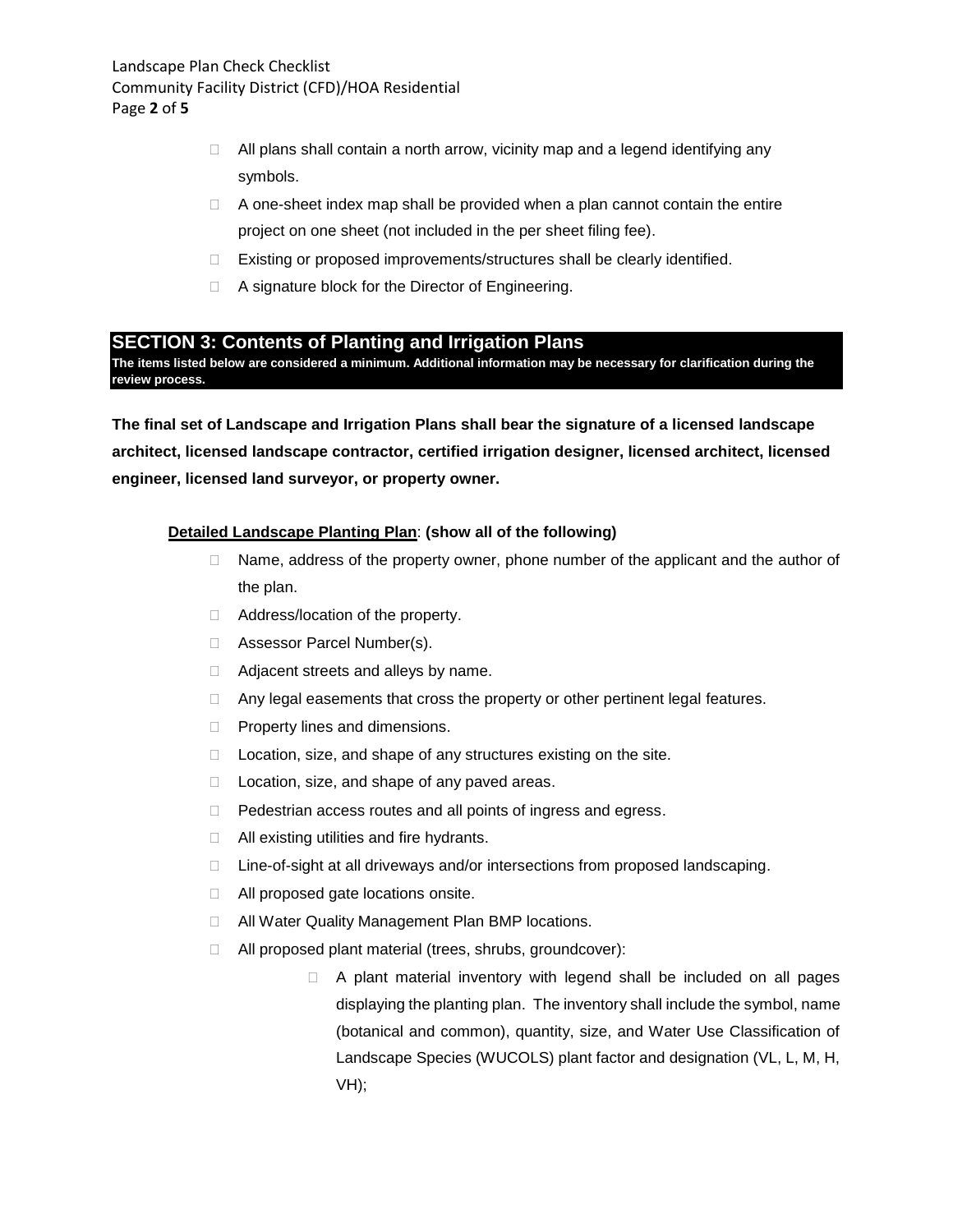- $\Box$  All plans shall contain a north arrow, vicinity map and a legend identifying any symbols.
- $\Box$  A one-sheet index map shall be provided when a plan cannot contain the entire project on one sheet (not included in the per sheet filing fee).
- □ Existing or proposed improvements/structures shall be clearly identified.
- □ A signature block for the Director of Engineering.

### **SECTION 3: Contents of Planting and Irrigation Plans**

**The items listed below are considered a minimum. Additional information may be necessary for clarification during the review process.**

**The final set of Landscape and Irrigation Plans shall bear the signature of a licensed landscape architect, licensed landscape contractor, certified irrigation designer, licensed architect, licensed engineer, licensed land surveyor, or property owner.**

#### **Detailed Landscape Planting Plan**: **(show all of the following)**

- $\Box$  Name, address of the property owner, phone number of the applicant and the author of the plan.
- □ Address/location of the property.
- □ Assessor Parcel Number(s).
- □ Adjacent streets and alleys by name.
- $\Box$  Any legal easements that cross the property or other pertinent legal features.
- $\Box$  Property lines and dimensions.
- $\Box$  Location, size, and shape of any structures existing on the site.
- $\Box$  Location, size, and shape of any paved areas.
- D Pedestrian access routes and all points of ingress and egress.
- $\Box$  All existing utilities and fire hydrants.
- □ Line-of-sight at all driveways and/or intersections from proposed landscaping.
- □ All proposed gate locations onsite.
- □ All Water Quality Management Plan BMP locations.
- All proposed plant material (trees, shrubs, groundcover):
	- $\Box$  A plant material inventory with legend shall be included on all pages displaying the planting plan. The inventory shall include the symbol, name (botanical and common), quantity, size, and Water Use Classification of Landscape Species (WUCOLS) plant factor and designation (VL, L, M, H, VH);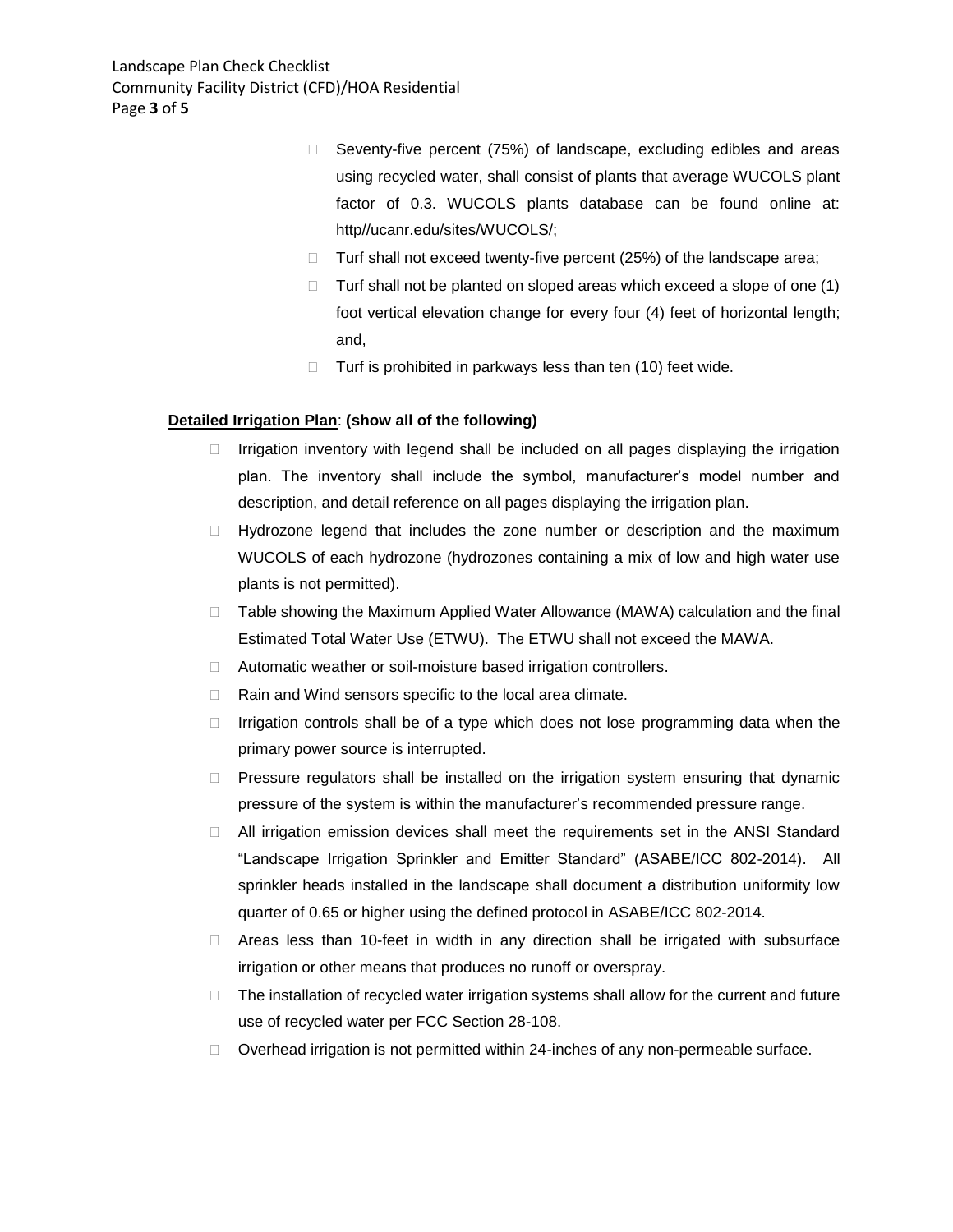- $\Box$  Seventy-five percent (75%) of landscape, excluding edibles and areas using recycled water, shall consist of plants that average WUCOLS plant factor of 0.3. WUCOLS plants database can be found online at: http//ucanr.edu/sites/WUCOLS/;
- $\Box$  Turf shall not exceed twenty-five percent (25%) of the landscape area;
- $\Box$  Turf shall not be planted on sloped areas which exceed a slope of one (1) foot vertical elevation change for every four (4) feet of horizontal length; and,
- $\Box$  Turf is prohibited in parkways less than ten (10) feet wide.

#### **Detailed Irrigation Plan**: **(show all of the following)**

- $\Box$  Irrigation inventory with legend shall be included on all pages displaying the irrigation plan. The inventory shall include the symbol, manufacturer's model number and description, and detail reference on all pages displaying the irrigation plan.
- $\Box$  Hydrozone legend that includes the zone number or description and the maximum WUCOLS of each hydrozone (hydrozones containing a mix of low and high water use plants is not permitted).
- $\Box$  Table showing the Maximum Applied Water Allowance (MAWA) calculation and the final Estimated Total Water Use (ETWU). The ETWU shall not exceed the MAWA.
- □ Automatic weather or soil-moisture based irrigation controllers.
- $\Box$  Rain and Wind sensors specific to the local area climate.
- $\Box$  Irrigation controls shall be of a type which does not lose programming data when the primary power source is interrupted.
- $\Box$  Pressure regulators shall be installed on the irrigation system ensuring that dynamic pressure of the system is within the manufacturer's recommended pressure range.
- All irrigation emission devices shall meet the requirements set in the ANSI Standard "Landscape Irrigation Sprinkler and Emitter Standard" (ASABE/ICC 802-2014). All sprinkler heads installed in the landscape shall document a distribution uniformity low quarter of 0.65 or higher using the defined protocol in ASABE/ICC 802-2014.
- Areas less than 10-feet in width in any direction shall be irrigated with subsurface irrigation or other means that produces no runoff or overspray.
- $\Box$  The installation of recycled water irrigation systems shall allow for the current and future use of recycled water per FCC Section 28-108.
- $\Box$  Overhead irrigation is not permitted within 24-inches of any non-permeable surface.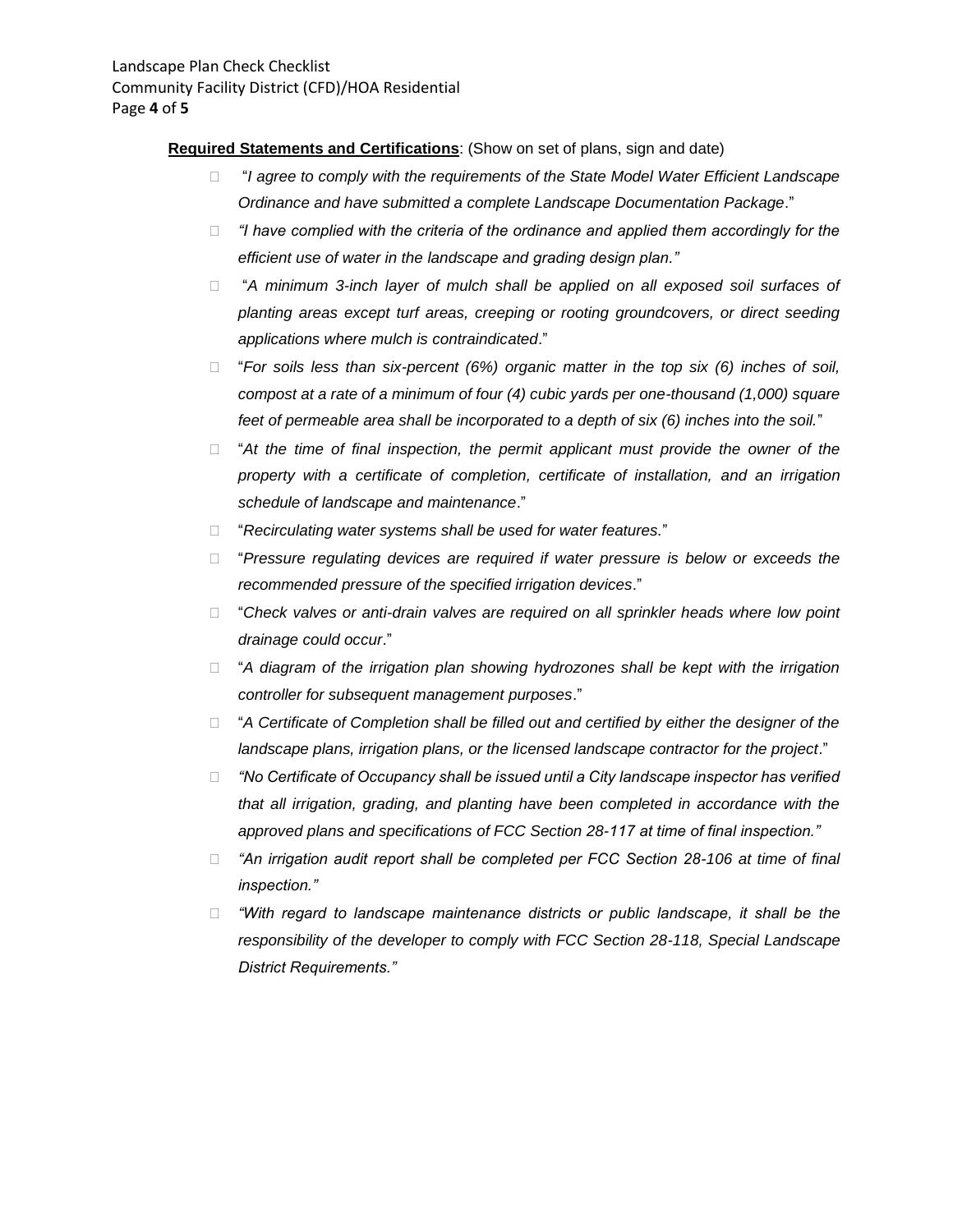#### **Required Statements and Certifications**: (Show on set of plans, sign and date)

- □ "I agree to comply with the requirements of the State Model Water Efficient Landscape *Ordinance and have submitted a complete Landscape Documentation Package*."
- *"I have complied with the criteria of the ordinance and applied them accordingly for the efficient use of water in the landscape and grading design plan."*
- "*A minimum 3-inch layer of mulch shall be applied on all exposed soil surfaces of planting areas except turf areas, creeping or rooting groundcovers, or direct seeding applications where mulch is contraindicated*."
- "*For soils less than six-percent (6%) organic matter in the top six (6) inches of soil, compost at a rate of a minimum of four (4) cubic yards per one-thousand (1,000) square feet of permeable area shall be incorporated to a depth of six (6) inches into the soil.*"
- □ "At the time of final inspection, the permit applicant must provide the owner of the *property with a certificate of completion, certificate of installation, and an irrigation schedule of landscape and maintenance*."
- "*Recirculating water systems shall be used for water features.*"
- "*Pressure regulating devices are required if water pressure is below or exceeds the recommended pressure of the specified irrigation devices*."
- □ "Check valves or anti-drain valves are required on all sprinkler heads where low point *drainage could occur*."
- □ "A diagram of the irrigation plan showing hydrozones shall be kept with the irrigation *controller for subsequent management purposes*."
- □ "A Certificate of Completion shall be filled out and certified by either the designer of the *landscape plans, irrigation plans, or the licensed landscape contractor for the project*."
- *"No Certificate of Occupancy shall be issued until a City landscape inspector has verified that all irrigation, grading, and planting have been completed in accordance with the approved plans and specifications of FCC Section 28-117 at time of final inspection."*
- *"An irrigation audit report shall be completed per FCC Section 28-106 at time of final inspection."*
- *"With regard to landscape maintenance districts or public landscape, it shall be the responsibility of the developer to comply with FCC Section 28-118, Special Landscape District Requirements."*